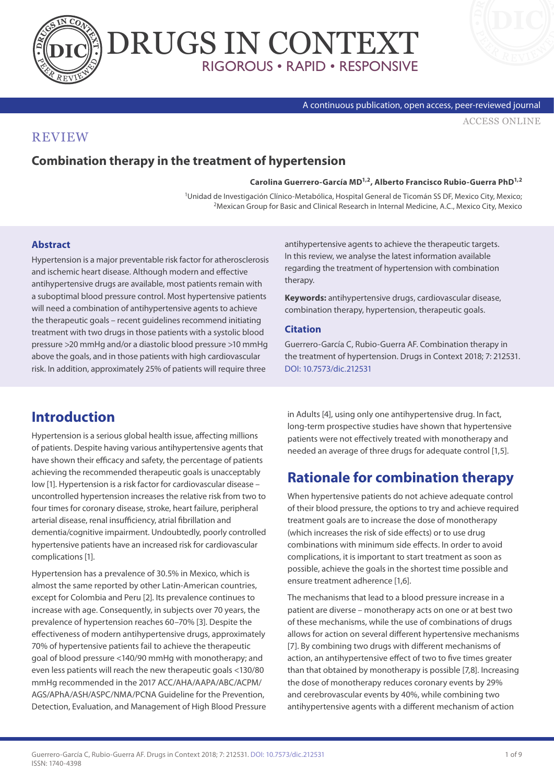



#### A continuous publication, open access, peer-reviewed journal

[ACCESS ONLINE](http://www.drugsincontext.com/combination-therapy-in-the-treatment-of-hypertension)

### **REVIEW**

### **Combination therapy in the treatment of hypertension**

**Carolina Guerrero-García MD1,2, Alberto Francisco Rubio-Guerra PhD1,2**

<sup>1</sup>Unidad de Investigación Clínico-Metabólica, Hospital General de Ticomán SS DF, Mexico City, Mexico;<br><sup>2</sup>Mexican Group for Basic and Clinical Research in Internal Medicine, A.C., Mexico City, Mexico

#### **Abstract**

Hypertension is a major preventable risk factor for atherosclerosis and ischemic heart disease. Although modern and effective antihypertensive drugs are available, most patients remain with a suboptimal blood pressure control. Most hypertensive patients will need a combination of antihypertensive agents to achieve the therapeutic goals – recent guidelines recommend initiating treatment with two drugs in those patients with a systolic blood pressure >20 mmHg and/or a diastolic blood pressure >10 mmHg above the goals, and in those patients with high cardiovascular risk. In addition, approximately 25% of patients will require three

antihypertensive agents to achieve the therapeutic targets. In this review, we analyse the latest information available regarding the treatment of hypertension with combination therapy.

**Keywords:** antihypertensive drugs, cardiovascular disease, combination therapy, hypertension, therapeutic goals.

#### **Citation**

Guerrero-García C, Rubio-Guerra AF. Combination therapy in the treatment of hypertension. Drugs in Context 2018; 7: 212531. [DOI: 10.7573/dic.212531](https://doi.org/10.7573/dic.212531)

## **Introduction**

Hypertension is a serious global health issue, affecting millions of patients. Despite having various antihypertensive agents that have shown their efficacy and safety, the percentage of patients achieving the recommended therapeutic goals is unacceptably low [1]. Hypertension is a risk factor for cardiovascular disease – uncontrolled hypertension increases the relative risk from two to four times for coronary disease, stroke, heart failure, peripheral arterial disease, renal insufficiency, atrial fibrillation and dementia/cognitive impairment. Undoubtedly, poorly controlled hypertensive patients have an increased risk for cardiovascular complications [1].

Hypertension has a prevalence of 30.5% in Mexico, which is almost the same reported by other Latin-American countries, except for Colombia and Peru [2]. Its prevalence continues to increase with age. Consequently, in subjects over 70 years, the prevalence of hypertension reaches 60–70% [3]. Despite the effectiveness of modern antihypertensive drugs, approximately 70% of hypertensive patients fail to achieve the therapeutic goal of blood pressure <140/90 mmHg with monotherapy; and even less patients will reach the new therapeutic goals <130/80 mmHg recommended in the 2017 ACC/AHA/AAPA/ABC/ACPM/ AGS/APhA/ASH/ASPC/NMA/PCNA Guideline for the Prevention, Detection, Evaluation, and Management of High Blood Pressure in Adults [4], using only one antihypertensive drug. In fact, long-term prospective studies have shown that hypertensive patients were not effectively treated with monotherapy and needed an average of three drugs for adequate control [1,5].

## **Rationale for combination therapy**

When hypertensive patients do not achieve adequate control of their blood pressure, the options to try and achieve required treatment goals are to increase the dose of monotherapy (which increases the risk of side effects) or to use drug combinations with minimum side effects. In order to avoid complications, it is important to start treatment as soon as possible, achieve the goals in the shortest time possible and ensure treatment adherence [1,6].

The mechanisms that lead to a blood pressure increase in a patient are diverse – monotherapy acts on one or at best two of these mechanisms, while the use of combinations of drugs allows for action on several different hypertensive mechanisms [7]. By combining two drugs with different mechanisms of action, an antihypertensive effect of two to five times greater than that obtained by monotherapy is possible [7,8]. Increasing the dose of monotherapy reduces coronary events by 29% and cerebrovascular events by 40%, while combining two antihypertensive agents with a different mechanism of action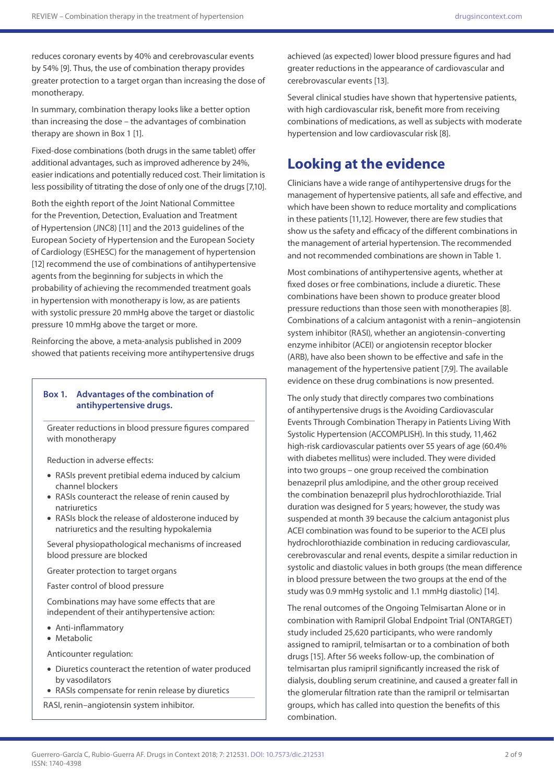reduces coronary events by 40% and cerebrovascular events by 54% [9]. Thus, the use of combination therapy provides greater protection to a target organ than increasing the dose of monotherapy.

In summary, combination therapy looks like a better option than increasing the dose – the advantages of combination therapy are shown in Box 1 [1].

Fixed-dose combinations (both drugs in the same tablet) offer additional advantages, such as improved adherence by 24%, easier indications and potentially reduced cost. Their limitation is less possibility of titrating the dose of only one of the drugs [7,10].

Both the eighth report of the Joint National Committee for the Prevention, Detection, Evaluation and Treatment of Hypertension (JNC8) [11] and the 2013 guidelines of the European Society of Hypertension and the European Society of Cardiology (ESHESC) for the management of hypertension [12] recommend the use of combinations of antihypertensive agents from the beginning for subjects in which the probability of achieving the recommended treatment goals in hypertension with monotherapy is low, as are patients with systolic pressure 20 mmHg above the target or diastolic pressure 10 mmHg above the target or more.

Reinforcing the above, a meta-analysis published in 2009 showed that patients receiving more antihypertensive drugs

#### **Box 1. Advantages of the combination of antihypertensive drugs.**

Greater reductions in blood pressure figures compared with monotherapy

Reduction in adverse effects:

- RASIs prevent pretibial edema induced by calcium channel blockers
- RASIs counteract the release of renin caused by natriuretics
- RASIs block the release of aldosterone induced by natriuretics and the resulting hypokalemia

Several physiopathological mechanisms of increased blood pressure are blocked

Greater protection to target organs

Faster control of blood pressure

Combinations may have some effects that are independent of their antihypertensive action:

- Anti-inflammatory
- Metabolic

Anticounter regulation:

- Diuretics counteract the retention of water produced by vasodilators
- RASIs compensate for renin release by diuretics

RASI, renin–angiotensin system inhibitor.

achieved (as expected) lower blood pressure figures and had greater reductions in the appearance of cardiovascular and cerebrovascular events [13].

Several clinical studies have shown that hypertensive patients, with high cardiovascular risk, benefit more from receiving combinations of medications, as well as subjects with moderate hypertension and low cardiovascular risk [8].

## **Looking at the evidence**

Clinicians have a wide range of antihypertensive drugs for the management of hypertensive patients, all safe and effective, and which have been shown to reduce mortality and complications in these patients [11,12]. However, there are few studies that show us the safety and efficacy of the different combinations in the management of arterial hypertension. The recommended and not recommended combinations are shown in Table 1.

Most combinations of antihypertensive agents, whether at fixed doses or free combinations, include a diuretic. These combinations have been shown to produce greater blood pressure reductions than those seen with monotherapies [8]. Combinations of a calcium antagonist with a renin–angiotensin system inhibitor (RASI), whether an angiotensin-converting enzyme inhibitor (ACEI) or angiotensin receptor blocker (ARB), have also been shown to be effective and safe in the management of the hypertensive patient [7,9]. The available evidence on these drug combinations is now presented.

The only study that directly compares two combinations of antihypertensive drugs is the Avoiding Cardiovascular Events Through Combination Therapy in Patients Living With Systolic Hypertension (ACCOMPLISH). In this study, 11,462 high-risk cardiovascular patients over 55 years of age (60.4% with diabetes mellitus) were included. They were divided into two groups – one group received the combination benazepril plus amlodipine, and the other group received the combination benazepril plus hydrochlorothiazide. Trial duration was designed for 5 years; however, the study was suspended at month 39 because the calcium antagonist plus ACEI combination was found to be superior to the ACEI plus hydrochlorothiazide combination in reducing cardiovascular, cerebrovascular and renal events, despite a similar reduction in systolic and diastolic values in both groups (the mean difference in blood pressure between the two groups at the end of the study was 0.9 mmHg systolic and 1.1 mmHg diastolic) [14].

The renal outcomes of the Ongoing Telmisartan Alone or in combination with Ramipril Global Endpoint Trial (ONTARGET) study included 25,620 participants, who were randomly assigned to ramipril, telmisartan or to a combination of both drugs [15]. After 56 weeks follow-up, the combination of telmisartan plus ramipril significantly increased the risk of dialysis, doubling serum creatinine, and caused a greater fall in the glomerular filtration rate than the ramipril or telmisartan groups, which has called into question the benefits of this combination.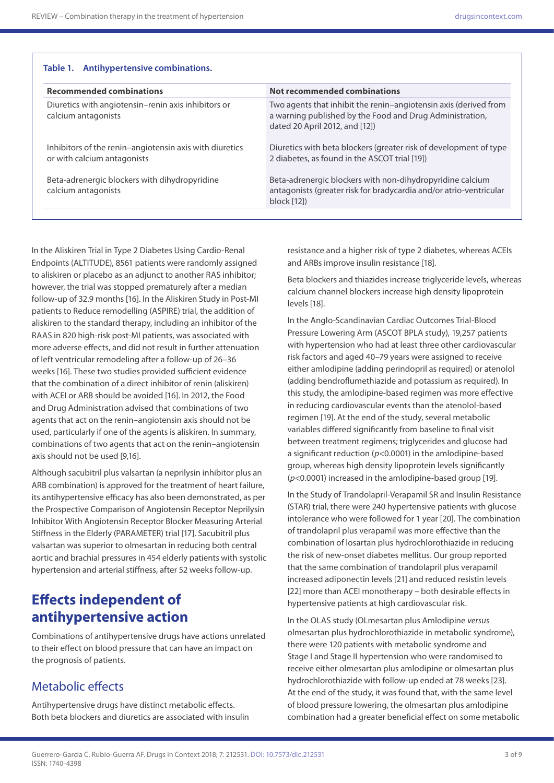| <b>Recommended combinations</b>                                                        | Not recommended combinations                                                                                                                                   |
|----------------------------------------------------------------------------------------|----------------------------------------------------------------------------------------------------------------------------------------------------------------|
| Diuretics with angiotensin–renin axis inhibitors or<br>calcium antagonists             | Two agents that inhibit the renin-angiotensin axis (derived from<br>a warning published by the Food and Drug Administration,<br>dated 20 April 2012, and [12]) |
| Inhibitors of the renin-angiotensin axis with diuretics<br>or with calcium antagonists | Diuretics with beta blockers (greater risk of development of type<br>2 diabetes, as found in the ASCOT trial [19])                                             |
| Beta-adrenergic blockers with dihydropyridine<br>calcium antagonists                   | Beta-adrenergic blockers with non-dihydropyridine calcium<br>antagonists (greater risk for bradycardia and/or atrio-ventricular<br>block[12]                   |

In the Aliskiren Trial in Type 2 Diabetes Using Cardio-Renal Endpoints (ALTITUDE), 8561 patients were randomly assigned to aliskiren or placebo as an adjunct to another RAS inhibitor; however, the trial was stopped prematurely after a median follow-up of 32.9 months [16]. In the Aliskiren Study in Post-MI patients to Reduce remodelling (ASPIRE) trial, the addition of aliskiren to the standard therapy, including an inhibitor of the RAAS in 820 high-risk post-MI patients, was associated with more adverse effects, and did not result in further attenuation of left ventricular remodeling after a follow-up of 26–36 weeks [16]. These two studies provided sufficient evidence that the combination of a direct inhibitor of renin (aliskiren) with ACEI or ARB should be avoided [16]. In 2012, the Food and Drug Administration advised that combinations of two agents that act on the renin–angiotensin axis should not be used, particularly if one of the agents is aliskiren. In summary, combinations of two agents that act on the renin–angiotensin axis should not be used [9,16].

Although sacubitril plus valsartan (a neprilysin inhibitor plus an ARB combination) is approved for the treatment of heart failure, its antihypertensive efficacy has also been demonstrated, as per the Prospective Comparison of Angiotensin Receptor Neprilysin Inhibitor With Angiotensin Receptor Blocker Measuring Arterial Stiffness in the Elderly (PARAMETER) trial [17]. Sacubitril plus valsartan was superior to olmesartan in reducing both central aortic and brachial pressures in 454 elderly patients with systolic hypertension and arterial stiffness, after 52 weeks follow-up.

## **Effects independent of antihypertensive action**

Combinations of antihypertensive drugs have actions unrelated to their effect on blood pressure that can have an impact on the prognosis of patients.

### Metabolic effects

Antihypertensive drugs have distinct metabolic effects. Both beta blockers and diuretics are associated with insulin

resistance and a higher risk of type 2 diabetes, whereas ACEIs and ARBs improve insulin resistance [18].

Beta blockers and thiazides increase triglyceride levels, whereas calcium channel blockers increase high density lipoprotein levels [18].

In the Anglo-Scandinavian Cardiac Outcomes Trial-Blood Pressure Lowering Arm (ASCOT BPLA study), 19,257 patients with hypertension who had at least three other cardiovascular risk factors and aged 40–79 years were assigned to receive either amlodipine (adding perindopril as required) or atenolol (adding bendroflumethiazide and potassium as required). In this study, the amlodipine-based regimen was more effective in reducing cardiovascular events than the atenolol-based regimen [19]. At the end of the study, several metabolic variables differed significantly from baseline to final visit between treatment regimens; triglycerides and glucose had a significant reduction (*p*<0.0001) in the amlodipine-based group, whereas high density lipoprotein levels significantly (*p*<0.0001) increased in the amlodipine-based group [19].

In the Study of Trandolapril-Verapamil SR and Insulin Resistance (STAR) trial, there were 240 hypertensive patients with glucose intolerance who were followed for 1 year [20]. The combination of trandolapril plus verapamil was more effective than the combination of losartan plus hydrochlorothiazide in reducing the risk of new-onset diabetes mellitus. Our group reported that the same combination of trandolapril plus verapamil increased adiponectin levels [21] and reduced resistin levels [22] more than ACEI monotherapy – both desirable effects in hypertensive patients at high cardiovascular risk.

In the OLAS study (OLmesartan plus Amlodipine *versus* olmesartan plus hydrochlorothiazide in metabolic syndrome), there were 120 patients with metabolic syndrome and Stage I and Stage II hypertension who were randomised to receive either olmesartan plus amlodipine or olmesartan plus hydrochlorothiazide with follow-up ended at 78 weeks [23]. At the end of the study, it was found that, with the same level of blood pressure lowering, the olmesartan plus amlodipine combination had a greater beneficial effect on some metabolic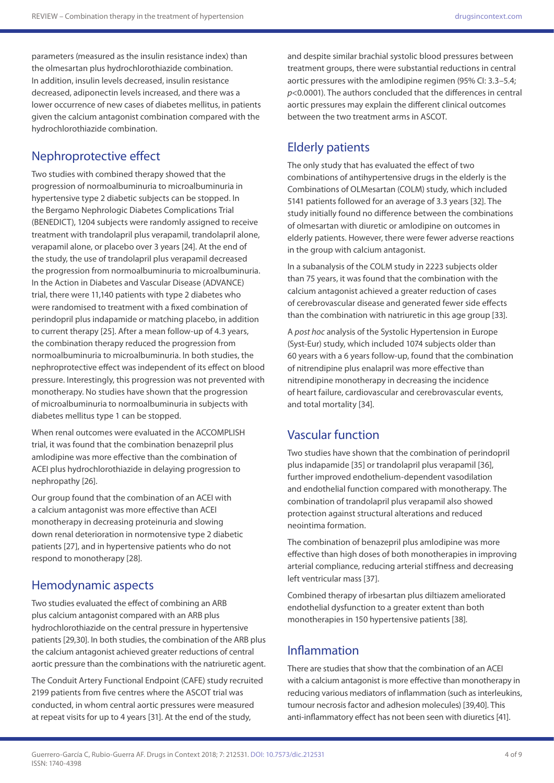parameters (measured as the insulin resistance index) than the olmesartan plus hydrochlorothiazide combination. In addition, insulin levels decreased, insulin resistance decreased, adiponectin levels increased, and there was a lower occurrence of new cases of diabetes mellitus, in patients given the calcium antagonist combination compared with the hydrochlorothiazide combination.

## Nephroprotective effect

Two studies with combined therapy showed that the progression of normoalbuminuria to microalbuminuria in hypertensive type 2 diabetic subjects can be stopped. In the Bergamo Nephrologic Diabetes Complications Trial (BENEDICT), 1204 subjects were randomly assigned to receive treatment with trandolapril plus verapamil, trandolapril alone, verapamil alone, or placebo over 3 years [24]. At the end of the study, the use of trandolapril plus verapamil decreased the progression from normoalbuminuria to microalbuminuria. In the Action in Diabetes and Vascular Disease (ADVANCE) trial, there were 11,140 patients with type 2 diabetes who were randomised to treatment with a fixed combination of perindopril plus indapamide or matching placebo, in addition to current therapy [25]. After a mean follow-up of 4.3 years, the combination therapy reduced the progression from normoalbuminuria to microalbuminuria. In both studies, the nephroprotective effect was independent of its effect on blood pressure. Interestingly, this progression was not prevented with monotherapy. No studies have shown that the progression of microalbuminuria to normoalbuminuria in subjects with diabetes mellitus type 1 can be stopped.

When renal outcomes were evaluated in the ACCOMPLISH trial, it was found that the combination benazepril plus amlodipine was more effective than the combination of ACEI plus hydrochlorothiazide in delaying progression to nephropathy [26].

Our group found that the combination of an ACEI with a calcium antagonist was more effective than ACEI monotherapy in decreasing proteinuria and slowing down renal deterioration in normotensive type 2 diabetic patients [27], and in hypertensive patients who do not respond to monotherapy [28].

### Hemodynamic aspects

Two studies evaluated the effect of combining an ARB plus calcium antagonist compared with an ARB plus hydrochlorothiazide on the central pressure in hypertensive patients [29,30]. In both studies, the combination of the ARB plus the calcium antagonist achieved greater reductions of central aortic pressure than the combinations with the natriuretic agent.

The Conduit Artery Functional Endpoint (CAFE) study recruited 2199 patients from five centres where the ASCOT trial was conducted, in whom central aortic pressures were measured at repeat visits for up to 4 years [31]. At the end of the study,

and despite similar brachial systolic blood pressures between treatment groups, there were substantial reductions in central aortic pressures with the amlodipine regimen (95% CI: 3.3–5.4; *p*<0.0001). The authors concluded that the differences in central aortic pressures may explain the different clinical outcomes between the two treatment arms in ASCOT.

## Elderly patients

The only study that has evaluated the effect of two combinations of antihypertensive drugs in the elderly is the Combinations of OLMesartan (COLM) study, which included 5141 patients followed for an average of 3.3 years [32]. The study initially found no difference between the combinations of olmesartan with diuretic or amlodipine on outcomes in elderly patients. However, there were fewer adverse reactions in the group with calcium antagonist.

In a subanalysis of the COLM study in 2223 subjects older than 75 years, it was found that the combination with the calcium antagonist achieved a greater reduction of cases of cerebrovascular disease and generated fewer side effects than the combination with natriuretic in this age group [33].

A *post hoc* analysis of the Systolic Hypertension in Europe (Syst-Eur) study, which included 1074 subjects older than 60 years with a 6 years follow-up, found that the combination of nitrendipine plus enalapril was more effective than nitrendipine monotherapy in decreasing the incidence of heart failure, cardiovascular and cerebrovascular events, and total mortality [34].

## Vascular function

Two studies have shown that the combination of perindopril plus indapamide [35] or trandolapril plus verapamil [36], further improved endothelium-dependent vasodilation and endothelial function compared with monotherapy. The combination of trandolapril plus verapamil also showed protection against structural alterations and reduced neointima formation.

The combination of benazepril plus amlodipine was more effective than high doses of both monotherapies in improving arterial compliance, reducing arterial stiffness and decreasing left ventricular mass [37].

Combined therapy of irbesartan plus diltiazem ameliorated endothelial dysfunction to a greater extent than both monotherapies in 150 hypertensive patients [38].

## Inflammation

There are studies that show that the combination of an ACEI with a calcium antagonist is more effective than monotherapy in reducing various mediators of inflammation (such as interleukins, tumour necrosis factor and adhesion molecules) [39,40]. This anti-inflammatory effect has not been seen with diuretics [41].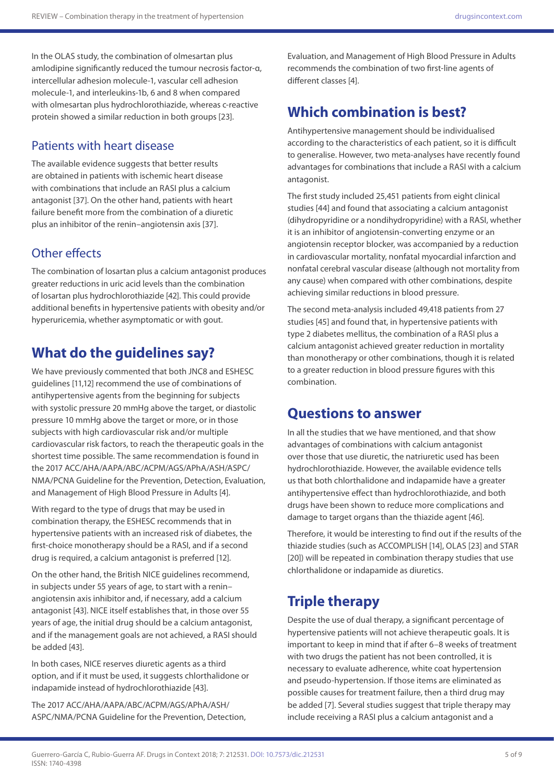In the OLAS study, the combination of olmesartan plus amlodipine significantly reduced the tumour necrosis factor-α, intercellular adhesion molecule-1, vascular cell adhesion molecule-1, and interleukins-1b, 6 and 8 when compared with olmesartan plus hydrochlorothiazide, whereas c-reactive protein showed a similar reduction in both groups [23].

## Patients with heart disease

The available evidence suggests that better results are obtained in patients with ischemic heart disease with combinations that include an RASI plus a calcium antagonist [37]. On the other hand, patients with heart failure benefit more from the combination of a diuretic plus an inhibitor of the renin–angiotensin axis [37].

## Other effects

The combination of losartan plus a calcium antagonist produces greater reductions in uric acid levels than the combination of losartan plus hydrochlorothiazide [42]. This could provide additional benefits in hypertensive patients with obesity and/or hyperuricemia, whether asymptomatic or with gout.

# **What do the guidelines say?**

We have previously commented that both JNC8 and ESHESC guidelines [11,12] recommend the use of combinations of antihypertensive agents from the beginning for subjects with systolic pressure 20 mmHg above the target, or diastolic pressure 10 mmHg above the target or more, or in those subjects with high cardiovascular risk and/or multiple cardiovascular risk factors, to reach the therapeutic goals in the shortest time possible. The same recommendation is found in the 2017 ACC/AHA/AAPA/ABC/ACPM/AGS/APhA/ASH/ASPC/ NMA/PCNA Guideline for the Prevention, Detection, Evaluation, and Management of High Blood Pressure in Adults [4].

With regard to the type of drugs that may be used in combination therapy, the ESHESC recommends that in hypertensive patients with an increased risk of diabetes, the first-choice monotherapy should be a RASI, and if a second drug is required, a calcium antagonist is preferred [12].

On the other hand, the British NICE guidelines recommend, in subjects under 55 years of age, to start with a renin– angiotensin axis inhibitor and, if necessary, add a calcium antagonist [43]. NICE itself establishes that, in those over 55 years of age, the initial drug should be a calcium antagonist, and if the management goals are not achieved, a RASI should be added [43].

In both cases, NICE reserves diuretic agents as a third option, and if it must be used, it suggests chlorthalidone or indapamide instead of hydrochlorothiazide [43].

The 2017 ACC/AHA/AAPA/ABC/ACPM/AGS/APhA/ASH/ ASPC/NMA/PCNA Guideline for the Prevention, Detection, Evaluation, and Management of High Blood Pressure in Adults recommends the combination of two first-line agents of different classes [4].

# **Which combination is best?**

Antihypertensive management should be individualised according to the characteristics of each patient, so it is difficult to generalise. However, two meta-analyses have recently found advantages for combinations that include a RASI with a calcium antagonist.

The first study included 25,451 patients from eight clinical studies [44] and found that associating a calcium antagonist (dihydropyridine or a nondihydropyridine) with a RASI, whether it is an inhibitor of angiotensin-converting enzyme or an angiotensin receptor blocker, was accompanied by a reduction in cardiovascular mortality, nonfatal myocardial infarction and nonfatal cerebral vascular disease (although not mortality from any cause) when compared with other combinations, despite achieving similar reductions in blood pressure.

The second meta-analysis included 49,418 patients from 27 studies [45] and found that, in hypertensive patients with type 2 diabetes mellitus, the combination of a RASI plus a calcium antagonist achieved greater reduction in mortality than monotherapy or other combinations, though it is related to a greater reduction in blood pressure figures with this combination.

## **Questions to answer**

In all the studies that we have mentioned, and that show advantages of combinations with calcium antagonist over those that use diuretic, the natriuretic used has been hydrochlorothiazide. However, the available evidence tells us that both chlorthalidone and indapamide have a greater antihypertensive effect than hydrochlorothiazide, and both drugs have been shown to reduce more complications and damage to target organs than the thiazide agent [46].

Therefore, it would be interesting to find out if the results of the thiazide studies (such as ACCOMPLISH [14], OLAS [23] and STAR [20]) will be repeated in combination therapy studies that use chlorthalidone or indapamide as diuretics.

# **Triple therapy**

Despite the use of dual therapy, a significant percentage of hypertensive patients will not achieve therapeutic goals. It is important to keep in mind that if after 6–8 weeks of treatment with two drugs the patient has not been controlled, it is necessary to evaluate adherence, white coat hypertension and pseudo-hypertension. If those items are eliminated as possible causes for treatment failure, then a third drug may be added [7]. Several studies suggest that triple therapy may include receiving a RASI plus a calcium antagonist and a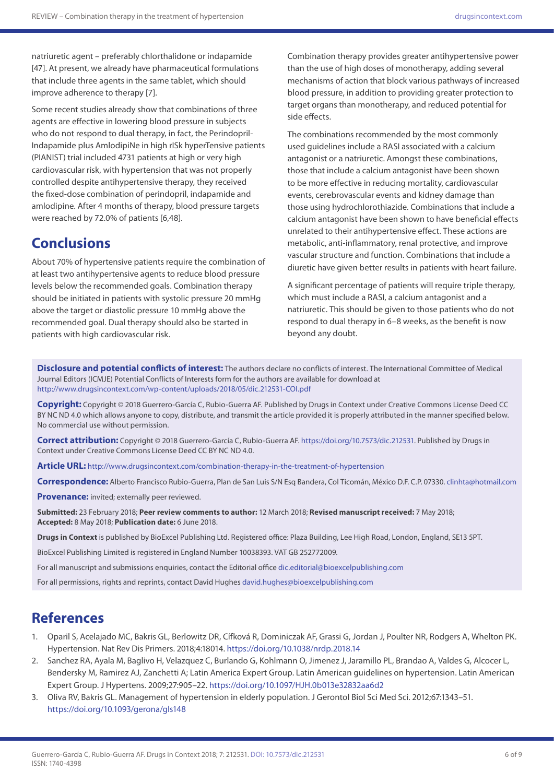natriuretic agent – preferably chlorthalidone or indapamide [47]. At present, we already have pharmaceutical formulations that include three agents in the same tablet, which should improve adherence to therapy [7].

Some recent studies already show that combinations of three agents are effective in lowering blood pressure in subjects who do not respond to dual therapy, in fact, the Perindopril-Indapamide plus AmlodipiNe in high rISk hyperTensive patients (PIANIST) trial included 4731 patients at high or very high cardiovascular risk, with hypertension that was not properly controlled despite antihypertensive therapy, they received the fixed-dose combination of perindopril, indapamide and amlodipine. After 4 months of therapy, blood pressure targets were reached by 72.0% of patients [6,48].

# **Conclusions**

About 70% of hypertensive patients require the combination of at least two antihypertensive agents to reduce blood pressure levels below the recommended goals. Combination therapy should be initiated in patients with systolic pressure 20 mmHg above the target or diastolic pressure 10 mmHg above the recommended goal. Dual therapy should also be started in patients with high cardiovascular risk.

Combination therapy provides greater antihypertensive power than the use of high doses of monotherapy, adding several mechanisms of action that block various pathways of increased blood pressure, in addition to providing greater protection to target organs than monotherapy, and reduced potential for side effects.

The combinations recommended by the most commonly used guidelines include a RASI associated with a calcium antagonist or a natriuretic. Amongst these combinations, those that include a calcium antagonist have been shown to be more effective in reducing mortality, cardiovascular events, cerebrovascular events and kidney damage than those using hydrochlorothiazide. Combinations that include a calcium antagonist have been shown to have beneficial effects unrelated to their antihypertensive effect. These actions are metabolic, anti-inflammatory, renal protective, and improve vascular structure and function. Combinations that include a diuretic have given better results in patients with heart failure.

A significant percentage of patients will require triple therapy, which must include a RASI, a calcium antagonist and a natriuretic. This should be given to those patients who do not respond to dual therapy in 6–8 weeks, as the benefit is now beyond any doubt.

**Disclosure and potential conflicts of interest:** The authors declare no conflicts of interest. The International Committee of Medical Journal Editors (ICMJE) Potential Conflicts of Interests form for the authors are available for download at <http://www.drugsincontext.com/wp-content/uploads/2018/05/dic.212531-COI.pdf>

**Copyright:** Copyright © 2018 Guerrero-García C, Rubio-Guerra AF. Published by Drugs in Context under Creative Commons License Deed CC BY NC ND 4.0 which allows anyone to copy, distribute, and transmit the article provided it is properly attributed in the manner specified below. No commercial use without permission.

**Correct attribution:** Copyright © 2018 Guerrero-García C, Rubio-Guerra AF. <https://doi.org/10.7573/dic.212531>. Published by Drugs in Context under Creative Commons License Deed CC BY NC ND 4.0.

**Article URL:** <http://www.drugsincontext.com/combination-therapy-in-the-treatment-of-hypertension>

**Correspondence:** Alberto Francisco Rubio-Guerra, Plan de San Luis S/N Esq Bandera, Col Ticomán, México D.F. C.P. 07330. [clinhta@hotmail.com](mailto:clinhta@hotmail.com)

**Provenance:** invited; externally peer reviewed.

**Submitted:** 23 February 2018; **Peer review comments to author:** 12 March 2018; **Revised manuscript received:** 7 May 2018; **Accepted:** 8 May 2018; **Publication date:** 6 June 2018.

**Drugs in Context** is published by BioExcel Publishing Ltd. Registered office: Plaza Building, Lee High Road, London, England, SE13 5PT.

BioExcel Publishing Limited is registered in England Number 10038393. VAT GB 252772009.

For all manuscript and submissions enquiries, contact the Editorial office [dic.editorial@bioexcelpublishing.com](mailto:dic.editorial@bioexcelpublishing.com)

For all permissions, rights and reprints, contact David Hughes [david.hughes@bioexcelpublishing.com](mailto:david.hughes@bioexcelpublishing.com)

## **References**

- 1. Oparil S, Acelajado MC, Bakris GL, Berlowitz DR, Cífková R, Dominiczak AF, Grassi G, Jordan J, Poulter NR, Rodgers A, Whelton PK. Hypertension. Nat Rev Dis Primers. 2018;4:18014. <https://doi.org/10.1038/nrdp.2018.14>
- 2. Sanchez RA, Ayala M, Baglivo H, Velazquez C, Burlando G, Kohlmann O, Jimenez J, Jaramillo PL, Brandao A, Valdes G, Alcocer L, Bendersky M, Ramirez AJ, Zanchetti A; Latin America Expert Group. Latin American guidelines on hypertension. Latin American Expert Group. J Hypertens. 2009;27:905–22. <https://doi.org/10.1097/HJH.0b013e32832aa6d2>
- 3. Oliva RV, Bakris GL. Management of hypertension in elderly population. J Gerontol Biol Sci Med Sci. 2012;67:1343–51. <https://doi.org/10.1093/gerona/gls148>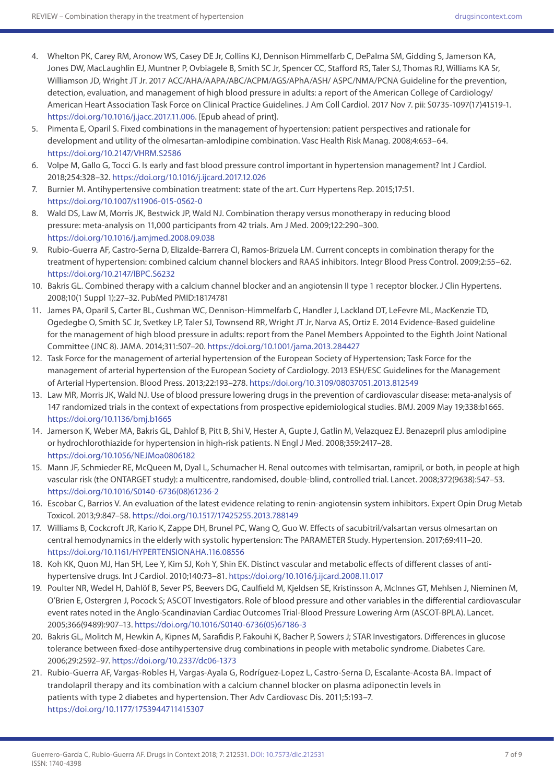- 4. Whelton PK, Carey RM, Aronow WS, Casey DE Jr, Collins KJ, Dennison Himmelfarb C, DePalma SM, Gidding S, Jamerson KA, Jones DW, MacLaughlin EJ, Muntner P, Ovbiagele B, Smith SC Jr, Spencer CC, Stafford RS, Taler SJ, Thomas RJ, Williams KA Sr, Williamson JD, Wright JT Jr. 2017 ACC/AHA/AAPA/ABC/ACPM/AGS/APhA/ASH/ ASPC/NMA/PCNA Guideline for the prevention, detection, evaluation, and management of high blood pressure in adults: a report of the American College of Cardiology/ American Heart Association Task Force on Clinical Practice Guidelines. J Am Coll Cardiol. 2017 Nov 7. pii: S0735-1097(17)41519-1. [https://doi.org/10.1016/j.jacc.2017.11.006.](https://doi.org/10.1016/j.jacc.2017.11.006) [Epub ahead of print].
- 5. Pimenta E, Oparil S. Fixed combinations in the management of hypertension: patient perspectives and rationale for development and utility of the olmesartan-amlodipine combination. Vasc Health Risk Manag. 2008;4:653–64. <https://doi.org/10.2147/VHRM.S2586>
- 6. Volpe M, Gallo G, Tocci G. Is early and fast blood pressure control important in hypertension management? Int J Cardiol. 2018;254:328–32. <https://doi.org/10.1016/j.ijcard.2017.12.026>
- 7. Burnier M. Antihypertensive combination treatment: state of the art. Curr Hypertens Rep. 2015;17:51. <https://doi.org/10.1007/s11906-015-0562-0>
- 8. Wald DS, Law M, Morris JK, Bestwick JP, Wald NJ. Combination therapy versus monotherapy in reducing blood pressure: meta-analysis on 11,000 participants from 42 trials. Am J Med. 2009;122:290–300. <https://doi.org/10.1016/j.amjmed.2008.09.038>
- 9. Rubio-Guerra AF, Castro-Serna D, Elizalde-Barrera CI, Ramos-Brizuela LM. Current concepts in combination therapy for the treatment of hypertension: combined calcium channel blockers and RAAS inhibitors. Integr Blood Press Control. 2009;2:55–62. <https://doi.org/10.2147/IBPC.S6232>
- 10. Bakris GL. Combined therapy with a calcium channel blocker and an angiotensin II type 1 receptor blocker.J Clin Hypertens. 2008;10(1 Suppl 1):27–32. PubMed PMID:18174781
- 11. James PA, Oparil S, Carter BL, Cushman WC, Dennison-Himmelfarb C, Handler J, Lackland DT, LeFevre ML, MacKenzie TD, Ogedegbe O, Smith SC Jr, Svetkey LP, Taler SJ, Townsend RR, Wright JT Jr, Narva AS, Ortiz E. 2014 Evidence-Based guideline for the management of high blood pressure in adults: report from the Panel Members Appointed to the Eighth Joint National Committee (JNC 8). JAMA. 2014;311:507–20.<https://doi.org/10.1001/jama.2013.284427>
- 12. Task Force for the management of arterial hypertension of the European Society of Hypertension; Task Force for the management of arterial hypertension of the European Society of Cardiology. 2013 ESH/ESC Guidelines for the Management of Arterial Hypertension. Blood Press. 2013;22:193–278.<https://doi.org/10.3109/08037051.2013.812549>
- 13. Law MR, Morris JK, Wald NJ. Use of blood pressure lowering drugs in the prevention of cardiovascular disease: meta-analysis of 147 randomized trials in the context of expectations from prospective epidemiological studies. BMJ. 2009 May 19;338:b1665. <https://doi.org/10.1136/bmj.b1665>
- 14. Jamerson K, Weber MA, Bakris GL, Dahlof B, Pitt B, Shi V, Hester A, Gupte J, Gatlin M, Velazquez EJ. Benazepril plus amlodipine or hydrochlorothiazide for hypertension in high-risk patients. N Engl J Med. 2008;359:2417–28. <https://doi.org/10.1056/NEJMoa0806182>
- 15. Mann JF, Schmieder RE, McQueen M, Dyal L, Schumacher H. Renal outcomes with telmisartan, ramipril, or both, in people at high vascular risk (the ONTARGET study): a multicentre, randomised, double-blind, controlled trial. Lancet. 2008;372(9638):547–53. [https://doi.org/10.1016/S0140-6736\(08\)61236-2](https://doi.org/10.1016/S0140-6736(08)61236-2)
- 16. Escobar C, Barrios V. An evaluation of the latest evidence relating to renin-angiotensin system inhibitors. Expert Opin Drug Metab Toxicol. 2013;9:847–58.<https://doi.org/10.1517/17425255.2013.788149>
- 17. Williams B, Cockcroft JR, Kario K, Zappe DH, Brunel PC, Wang Q, Guo W. Effects of sacubitril/valsartan versus olmesartan on central hemodynamics in the elderly with systolic hypertension: The PARAMETER Study. Hypertension. 2017;69:411–20. <https://doi.org/10.1161/HYPERTENSIONAHA.116.08556>
- 18. Koh KK, Quon MJ, Han SH, Lee Y, Kim SJ, Koh Y, Shin EK. Distinct vascular and metabolic effects of different classes of antihypertensive drugs. Int J Cardiol. 2010;140:73–81.<https://doi.org/10.1016/j.ijcard.2008.11.017>
- 19. Poulter NR, Wedel H, Dahlöf B, Sever PS, Beevers DG, Caulfield M, Kjeldsen SE, Kristinsson A, McInnes GT, Mehlsen J, Nieminen M, O'Brien E, Ostergren J, Pocock S; ASCOT Investigators. Role of blood pressure and other variables in the differential cardiovascular event rates noted in the Anglo-Scandinavian Cardiac Outcomes Trial-Blood Pressure Lowering Arm (ASCOT-BPLA). Lancet. 2005;366(9489):907–13. [https://doi.org/10.1016/S0140-6736\(05\)67186-3](https://doi.org/10.1016/S0140-6736(05)67186-3)
- 20. Bakris GL, Molitch M, Hewkin A, Kipnes M, Sarafidis P, Fakouhi K, Bacher P, Sowers J; STAR Investigators. Differences in glucose tolerance between fixed-dose antihypertensive drug combinations in people with metabolic syndrome. Diabetes Care. 2006;29:2592–97.<https://doi.org/10.2337/dc06-1373>
- 21. Rubio-Guerra AF, Vargas-Robles H, Vargas-Ayala G, Rodríguez-Lopez L, Castro-Serna D, Escalante-Acosta BA. Impact of trandolapril therapy and its combination with a calcium channel blocker on plasma adiponectin levels in patients with type 2 diabetes and hypertension. Ther Adv Cardiovasc Dis. 2011;5:193–7. <https://doi.org/10.1177/1753944711415307>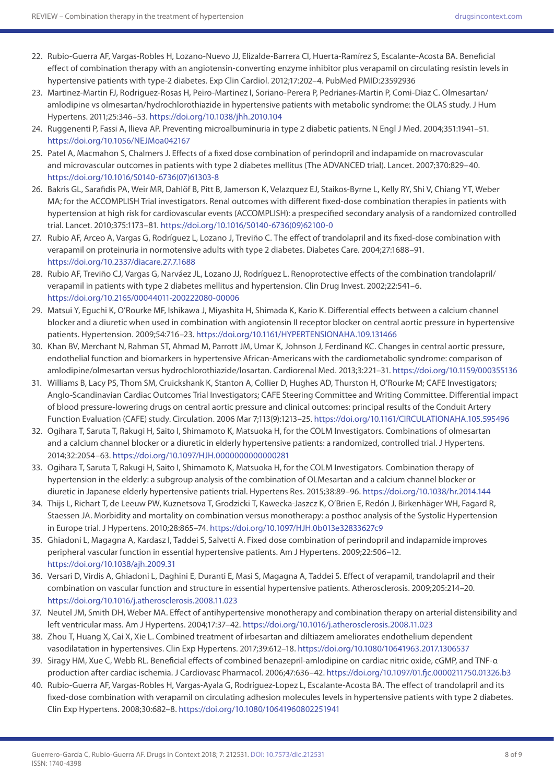- 22. Rubio-Guerra AF, Vargas-Robles H, Lozano-Nuevo JJ, Elizalde-Barrera CI, Huerta-Ramírez S, Escalante-Acosta BA. Beneficial effect of combination therapy with an angiotensin-converting enzyme inhibitor plus verapamil on circulating resistin levels in hypertensive patients with type-2 diabetes. Exp Clin Cardiol. 2012;17:202–4. PubMed PMID:23592936
- 23. Martinez-Martin FJ, Rodriguez-Rosas H, Peiro-Martinez I, Soriano-Perera P, Pedrianes-Martin P, Comi-Diaz C. Olmesartan/ amlodipine vs olmesartan/hydrochlorothiazide in hypertensive patients with metabolic syndrome: the OLAS study. J Hum Hypertens. 2011;25:346–53. <https://doi.org/10.1038/jhh.2010.104>
- 24. Ruggenenti P, Fassi A, Ilieva AP. Preventing microalbuminuria in type 2 diabetic patients. N Engl J Med. 2004;351:1941–51. <https://doi.org/10.1056/NEJMoa042167>
- 25. Patel A, Macmahon S, Chalmers J. Effects of a fixed dose combination of perindopril and indapamide on macrovascular and microvascular outcomes in patients with type 2 diabetes mellitus (The ADVANCED trial). Lancet. 2007;370:829–40. [https://doi.org/10.1016/S0140-6736\(07\)61303-8](https://doi.org/10.1016/S0140-6736(07)61303-8)
- 26. Bakris GL, Sarafidis PA, Weir MR, Dahlöf B, Pitt B, Jamerson K, Velazquez EJ, Staikos-Byrne L, Kelly RY, Shi V, Chiang YT, Weber MA; for the ACCOMPLISH Trial investigators. Renal outcomes with different fixed-dose combination therapies in patients with hypertension at high risk for cardiovascular events (ACCOMPLISH): a prespecified secondary analysis of a randomized controlled trial. Lancet. 2010;375:1173–81. [https://doi.org/10.1016/S0140-6736\(09\)62100-0](https://doi.org/10.1016/S0140-6736(09)62100-0)
- 27. Rubio AF, Arceo A, Vargas G, Rodríguez L, Lozano J, Treviño C. The effect of trandolapril and its fixed-dose combination with verapamil on proteinuria in normotensive adults with type 2 diabetes. Diabetes Care. 2004;27:1688–91. <https://doi.org/10.2337/diacare.27.7.1688>
- 28. Rubio AF, Treviño CJ, Vargas G, Narváez JL, Lozano JJ, Rodríguez L. Renoprotective effects of the combination trandolapril/ verapamil in patients with type 2 diabetes mellitus and hypertension. Clin Drug Invest. 2002;22:541–6. <https://doi.org/10.2165/00044011-200222080-00006>
- 29. Matsui Y, Eguchi K, O'Rourke MF, Ishikawa J, Miyashita H, Shimada K, Kario K. Differential effects between a calcium channel blocker and a diuretic when used in combination with angiotensin II receptor blocker on central aortic pressure in hypertensive patients. Hypertension. 2009;54:716–23.<https://doi.org/10.1161/HYPERTENSIONAHA.109.131466>
- 30. Khan BV, Merchant N, Rahman ST, Ahmad M, Parrott JM, Umar K, Johnson J, Ferdinand KC. Changes in central aortic pressure, endothelial function and biomarkers in hypertensive African-Americans with the cardiometabolic syndrome: comparison of amlodipine/olmesartan versus hydrochlorothiazide/losartan. Cardiorenal Med. 2013;3:221–31.<https://doi.org/10.1159/000355136>
- 31. Williams B, Lacy PS, Thom SM, Cruickshank K, Stanton A, Collier D, Hughes AD, Thurston H, O'Rourke M; CAFE Investigators; Anglo-Scandinavian Cardiac Outcomes Trial Investigators; CAFE Steering Committee and Writing Committee. Differential impact of blood pressure-lowering drugs on central aortic pressure and clinical outcomes: principal results of the Conduit Artery Function Evaluation (CAFE) study. Circulation. 2006 Mar 7;113(9):1213–25. <https://doi.org/10.1161/CIRCULATIONAHA.105.595496>
- 32. Ogihara T, Saruta T, Rakugi H, Saito I, Shimamoto K, Matsuoka H, for the COLM Investigators. Combinations of olmesartan and a calcium channel blocker or a diuretic in elderly hypertensive patients: a randomized, controlled trial. J Hypertens. 2014;32:2054–63.<https://doi.org/10.1097/HJH.0000000000000281>
- 33. Ogihara T, Saruta T, Rakugi H, Saito I, Shimamoto K, Matsuoka H, for the COLM Investigators. Combination therapy of hypertension in the elderly: a subgroup analysis of the combination of OLMesartan and a calcium channel blocker or diuretic in Japanese elderly hypertensive patients trial. Hypertens Res. 2015;38:89–96. <https://doi.org/10.1038/hr.2014.144>
- 34. Thijs L, Richart T, de Leeuw PW, Kuznetsova T, Grodzicki T, Kawecka-Jaszcz K, O'Brien E, Redón J, Birkenhäger WH, Fagard R, Staessen JA. Morbidity and mortality on combination versus monotherapy: a posthoc analysis of the Systolic Hypertension in Europe trial. J Hypertens. 2010;28:865–74. <https://doi.org/10.1097/HJH.0b013e32833627c9>
- 35. Ghiadoni L, Magagna A, Kardasz I, Taddei S, Salvetti A. Fixed dose combination of perindopril and indapamide improves peripheral vascular function in essential hypertensive patients. Am J Hypertens. 2009;22:506–12. <https://doi.org/10.1038/ajh.2009.31>
- 36. Versari D, Virdis A, Ghiadoni L, Daghini E, Duranti E, Masi S, Magagna A, Taddei S. Effect of verapamil, trandolapril and their combination on vascular function and structure in essential hypertensive patients. Atherosclerosis. 2009;205:214–20. <https://doi.org/10.1016/j.atherosclerosis.2008.11.023>
- 37. Neutel JM, Smith DH, Weber MA. Effect of antihypertensive monotherapy and combination therapy on arterial distensibility and left ventricular mass. Am J Hypertens. 2004;17:37–42.<https://doi.org/10.1016/j.atherosclerosis.2008.11.023>
- 38. Zhou T, Huang X, Cai X, Xie L. Combined treatment of irbesartan and diltiazem ameliorates endothelium dependent vasodilatation in hypertensives. Clin Exp Hypertens. 2017;39:612–18.<https://doi.org/10.1080/10641963.2017.1306537>
- 39. Siragy HM, Xue C, Webb RL. Beneficial effects of combined benazepril-amlodipine on cardiac nitric oxide, cGMP, and TNF-α production after cardiac ischemia. J Cardiovasc Pharmacol. 2006;47:636–42.<https://doi.org/10.1097/01.fjc.0000211750.01326.b3>
- 40. Rubio-Guerra AF, Vargas-Robles H, Vargas-Ayala G, Rodríguez-Lopez L, Escalante-Acosta BA. The effect of trandolapril and its fixed-dose combination with verapamil on circulating adhesion molecules levels in hypertensive patients with type 2 diabetes. Clin Exp Hypertens. 2008;30:682–8.<https://doi.org/10.1080/10641960802251941>